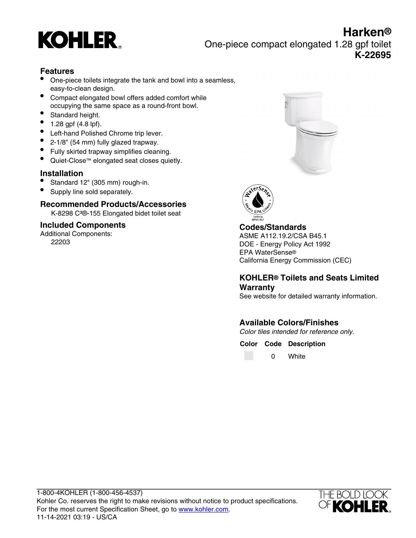

**Harken®** One-piece compact elongated 1.28 gpf toilet **K-22695**

### **Features**

- One-piece toilets integrate the tank and bowl into a seamless, easy-to-clean design.
- Compact elongated bowl offers added comfort while occupying the same space as a round-front bowl.
- Standard height.
- 1.28 gpf (4.8 lpf).
- Left-hand Polished Chrome trip lever.
- 2-1/8" (54 mm) fully glazed trapway.
- Fully skirted trapway simplifies cleaning.
- Quiet-Close™ elongated seat closes quietly.

#### **Installation**

- Standard 12" (305 mm) rough-in.
- Supply line sold separately.

#### **Recommended Products/Accessories**

K-8298 C<sup>3</sup>®-155 Elongated bidet toilet seat

#### **Included Components**

Additional Components: 22203





#### **Codes/Standards**

ASME A112.19.2/CSA B45.1 DOE - Energy Policy Act 1992 EPA WaterSense® California Energy Commission (CEC)

### **KOHLER® Toilets and Seats Limited Warranty**

See website for detailed warranty information.

# **Available Colors/Finishes**

Color tiles intended for reference only.

**Color Code Description**

0 White